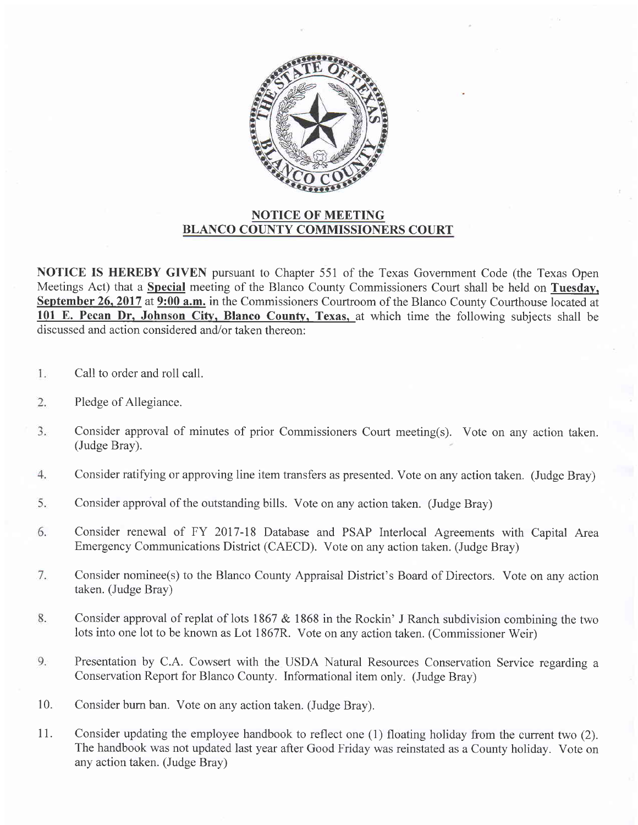

## NOTICE OF MEETING BLANCO COUNTY COMMISSIONERS COURT

NOTICE IS HEREBY GIVEN pursuant to Chapter 551 of the Texas Government Code (the Texas Open Meetings Act) that a **Special** meeting of the Blanco County Commissioners Court shall be held on **Tuesday**, September 26, 2017 at 9:00 a.m. in the Commissioners Courtroom of the Blanco County Courthouse located at 101 E. Pecan Dr. Johnson Citv. Blanco County. Texas. at which time the following subjects shall be discussed and action considered and/or taken thereon:

- 1. Call to order and roll call.
- 2. Pledge of Allegiance.
- $3.$ Consider approval of minutes of prior Commissioners Court meeting(s). Vote on any action taken. (Judge Bray).
- Consider ratifying or approving line item transfers as presented. Vote on any action taken. (Judge Bray) 4.
- 5. Consider approval of the outstanding bills. Vote on any action taken. (Judge Bray)
- 6. Consider renewal of FY 2017-18 Database and PSAP Interlocal Agreements with Capital Area Emergency Communications District (CAECD). Vote on any action taken. (Judge Bray)
- $7.$ Consider nominee(s) to the Blanco County Appraisal District's Board of Directors. Vote on any action taken. (Judge Bray)
- 8. Consider approval of replat of lots 1867 & 1868 in the Rockin' J Ranch subdivision combining the two lots into one lot to be known as Lot 1867R. Vote on any action taken. (Commissioner Weir)
- 9. Presentation by C.A. Cowsert with the USDA Natural Resources Conservation Service regarding <sup>a</sup> Conservation Report for Blanco County. Informational item only. (Judge Bray)
- Consider bum ban. Vote on any action taken. (Judge Bray). 10.
- Consider updating the employee handbook to reflect one (1) floating holiday from the current two (2). The handbook was not updated last year after Good Friday was reinstated as a County holiday. Vote on any action taken. (Judge Bray) 11.